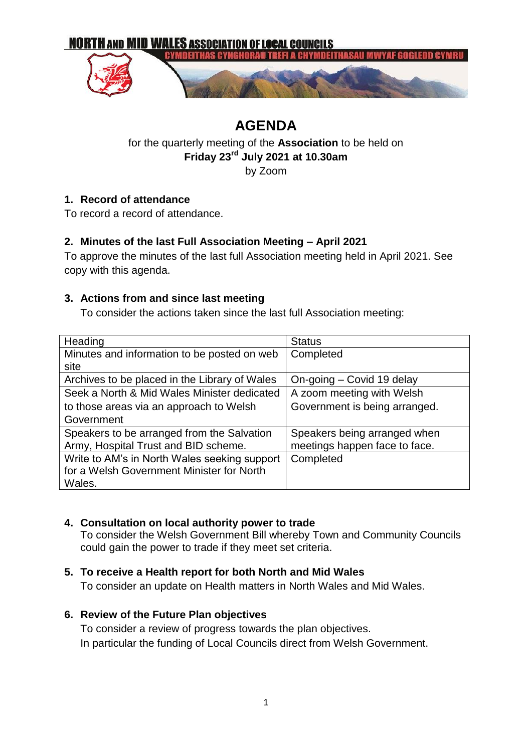

# **AGENDA**

# for the quarterly meeting of the **Association** to be held on **Friday 23rd July 2021 at 10.30am**

by Zoom

# **1. Record of attendance**

To record a record of attendance.

# **2. Minutes of the last Full Association Meeting – April 2021**

To approve the minutes of the last full Association meeting held in April 2021. See copy with this agenda.

#### **3. Actions from and since last meeting**

To consider the actions taken since the last full Association meeting:

| Heading                                       | <b>Status</b>                 |
|-----------------------------------------------|-------------------------------|
| Minutes and information to be posted on web   | Completed                     |
| site                                          |                               |
| Archives to be placed in the Library of Wales | On-going - Covid 19 delay     |
| Seek a North & Mid Wales Minister dedicated   | A zoom meeting with Welsh     |
| to those areas via an approach to Welsh       | Government is being arranged. |
| Government                                    |                               |
| Speakers to be arranged from the Salvation    | Speakers being arranged when  |
| Army, Hospital Trust and BID scheme.          | meetings happen face to face. |
| Write to AM's in North Wales seeking support  | Completed                     |
| for a Welsh Government Minister for North     |                               |
| Wales.                                        |                               |

#### **4. Consultation on local authority power to trade**

To consider the Welsh Government Bill whereby Town and Community Councils could gain the power to trade if they meet set criteria.

#### **5. To receive a Health report for both North and Mid Wales**

To consider an update on Health matters in North Wales and Mid Wales.

#### **6. Review of the Future Plan objectives**

To consider a review of progress towards the plan objectives. In particular the funding of Local Councils direct from Welsh Government.